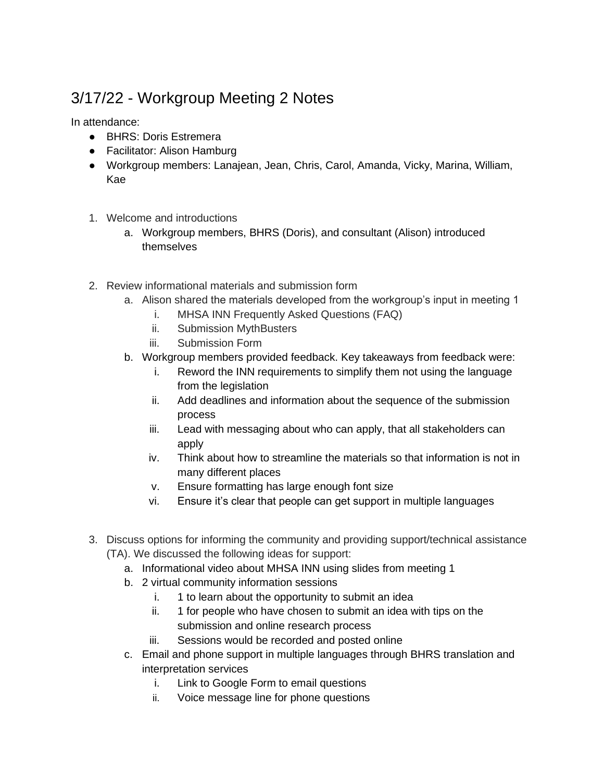## 3/17/22 - Workgroup Meeting 2 Notes

In attendance:

- BHRS: Doris Estremera
- Facilitator: Alison Hamburg
- Workgroup members: Lanajean, Jean, Chris, Carol, Amanda, Vicky, Marina, William, Kae
- 1. Welcome and introductions
	- a. Workgroup members, BHRS (Doris), and consultant (Alison) introduced themselves
- 2. Review informational materials and submission form
	- a. Alison shared the materials developed from the workgroup's input in meeting 1
		- i. MHSA INN Frequently Asked Questions (FAQ)
		- ii. Submission MythBusters
		- iii. Submission Form
	- b. Workgroup members provided feedback. Key takeaways from feedback were:
		- i. Reword the INN requirements to simplify them not using the language from the legislation
		- ii. Add deadlines and information about the sequence of the submission process
		- iii. Lead with messaging about who can apply, that all stakeholders can apply
		- iv. Think about how to streamline the materials so that information is not in many different places
		- v. Ensure formatting has large enough font size
		- vi. Ensure it's clear that people can get support in multiple languages
- 3. Discuss options for informing the community and providing support/technical assistance (TA). We discussed the following ideas for support:
	- a. Informational video about MHSA INN using slides from meeting 1
	- b. 2 virtual community information sessions
		- i. 1 to learn about the opportunity to submit an idea
		- ii. 1 for people who have chosen to submit an idea with tips on the submission and online research process
		- iii. Sessions would be recorded and posted online
	- c. Email and phone support in multiple languages through BHRS translation and interpretation services
		- i. Link to Google Form to email questions
		- ii. Voice message line for phone questions